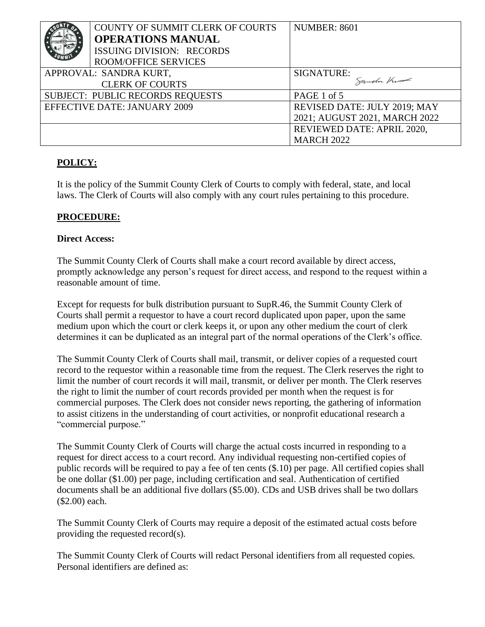|                                     | COUNTY OF SUMMIT CLERK OF COURTS | <b>NUMBER: 8601</b>           |
|-------------------------------------|----------------------------------|-------------------------------|
|                                     | <b>OPERATIONS MANUAL</b>         |                               |
|                                     | ISSUING DIVISION: RECORDS        |                               |
|                                     | <b>ROOM/OFFICE SERVICES</b>      |                               |
| APPROVAL: SANDRA KURT,              |                                  | SIGNATURE:                    |
| <b>CLERK OF COURTS</b>              |                                  | Sanden Kue                    |
| SUBJECT: PUBLIC RECORDS REQUESTS    |                                  | PAGE 1 of 5                   |
| <b>EFFECTIVE DATE: JANUARY 2009</b> |                                  | REVISED DATE: JULY 2019; MAY  |
|                                     |                                  | 2021; AUGUST 2021, MARCH 2022 |
|                                     |                                  | REVIEWED DATE: APRIL 2020,    |
|                                     |                                  | <b>MARCH 2022</b>             |

# **POLICY:**

It is the policy of the Summit County Clerk of Courts to comply with federal, state, and local laws. The Clerk of Courts will also comply with any court rules pertaining to this procedure.

# **PROCEDURE:**

#### **Direct Access:**

The Summit County Clerk of Courts shall make a court record available by direct access, promptly acknowledge any person's request for direct access, and respond to the request within a reasonable amount of time.

Except for requests for bulk distribution pursuant to SupR.46, the Summit County Clerk of Courts shall permit a requestor to have a court record duplicated upon paper, upon the same medium upon which the court or clerk keeps it, or upon any other medium the court of clerk determines it can be duplicated as an integral part of the normal operations of the Clerk's office.

The Summit County Clerk of Courts shall mail, transmit, or deliver copies of a requested court record to the requestor within a reasonable time from the request. The Clerk reserves the right to limit the number of court records it will mail, transmit, or deliver per month. The Clerk reserves the right to limit the number of court records provided per month when the request is for commercial purposes. The Clerk does not consider news reporting, the gathering of information to assist citizens in the understanding of court activities, or nonprofit educational research a "commercial purpose."

The Summit County Clerk of Courts will charge the actual costs incurred in responding to a request for direct access to a court record. Any individual requesting non-certified copies of public records will be required to pay a fee of ten cents (\$.10) per page. All certified copies shall be one dollar (\$1.00) per page, including certification and seal. Authentication of certified documents shall be an additional five dollars (\$5.00). CDs and USB drives shall be two dollars (\$2.00) each.

The Summit County Clerk of Courts may require a deposit of the estimated actual costs before providing the requested record(s).

The Summit County Clerk of Courts will redact Personal identifiers from all requested copies. Personal identifiers are defined as: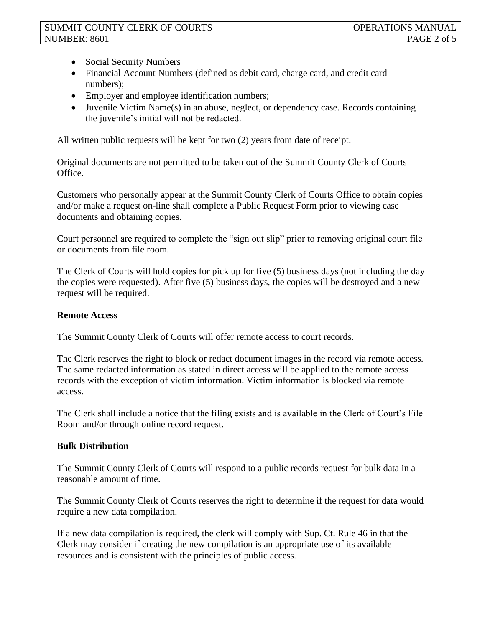- Social Security Numbers
- Financial Account Numbers (defined as debit card, charge card, and credit card numbers);
- Employer and employee identification numbers;
- Juvenile Victim Name(s) in an abuse, neglect, or dependency case. Records containing the juvenile's initial will not be redacted.

All written public requests will be kept for two (2) years from date of receipt.

Original documents are not permitted to be taken out of the Summit County Clerk of Courts Office.

Customers who personally appear at the Summit County Clerk of Courts Office to obtain copies and/or make a request on-line shall complete a Public Request Form prior to viewing case documents and obtaining copies.

Court personnel are required to complete the "sign out slip" prior to removing original court file or documents from file room.

The Clerk of Courts will hold copies for pick up for five (5) business days (not including the day the copies were requested). After five (5) business days, the copies will be destroyed and a new request will be required.

#### **Remote Access**

The Summit County Clerk of Courts will offer remote access to court records.

The Clerk reserves the right to block or redact document images in the record via remote access. The same redacted information as stated in direct access will be applied to the remote access records with the exception of victim information. Victim information is blocked via remote access.

The Clerk shall include a notice that the filing exists and is available in the Clerk of Court's File Room and/or through online record request.

## **Bulk Distribution**

The Summit County Clerk of Courts will respond to a public records request for bulk data in a reasonable amount of time.

The Summit County Clerk of Courts reserves the right to determine if the request for data would require a new data compilation.

If a new data compilation is required, the clerk will comply with Sup. Ct. Rule 46 in that the Clerk may consider if creating the new compilation is an appropriate use of its available resources and is consistent with the principles of public access.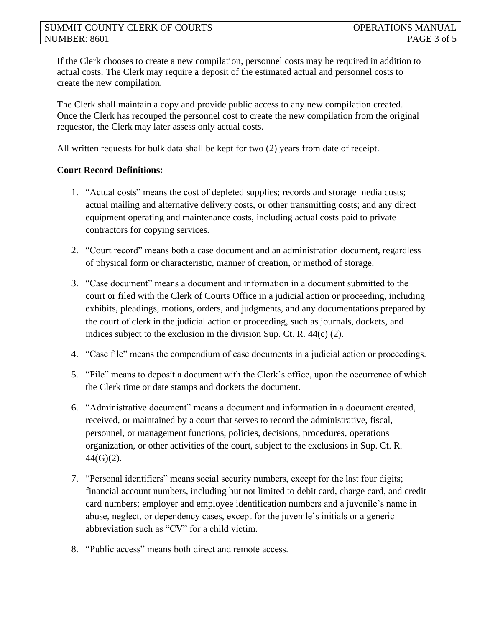If the Clerk chooses to create a new compilation, personnel costs may be required in addition to actual costs. The Clerk may require a deposit of the estimated actual and personnel costs to create the new compilation.

The Clerk shall maintain a copy and provide public access to any new compilation created. Once the Clerk has recouped the personnel cost to create the new compilation from the original requestor, the Clerk may later assess only actual costs.

All written requests for bulk data shall be kept for two (2) years from date of receipt.

## **Court Record Definitions:**

- 1. "Actual costs" means the cost of depleted supplies; records and storage media costs; actual mailing and alternative delivery costs, or other transmitting costs; and any direct equipment operating and maintenance costs, including actual costs paid to private contractors for copying services.
- 2. "Court record" means both a case document and an administration document, regardless of physical form or characteristic, manner of creation, or method of storage.
- 3. "Case document" means a document and information in a document submitted to the court or filed with the Clerk of Courts Office in a judicial action or proceeding, including exhibits, pleadings, motions, orders, and judgments, and any documentations prepared by the court of clerk in the judicial action or proceeding, such as journals, dockets, and indices subject to the exclusion in the division Sup. Ct. R. 44(c) (2).
- 4. "Case file" means the compendium of case documents in a judicial action or proceedings.
- 5. "File" means to deposit a document with the Clerk's office, upon the occurrence of which the Clerk time or date stamps and dockets the document.
- 6. "Administrative document" means a document and information in a document created, received, or maintained by a court that serves to record the administrative, fiscal, personnel, or management functions, policies, decisions, procedures, operations organization, or other activities of the court, subject to the exclusions in Sup. Ct. R.  $44(G)(2)$ .
- 7. "Personal identifiers" means social security numbers, except for the last four digits; financial account numbers, including but not limited to debit card, charge card, and credit card numbers; employer and employee identification numbers and a juvenile's name in abuse, neglect, or dependency cases, except for the juvenile's initials or a generic abbreviation such as "CV" for a child victim.
- 8. "Public access" means both direct and remote access.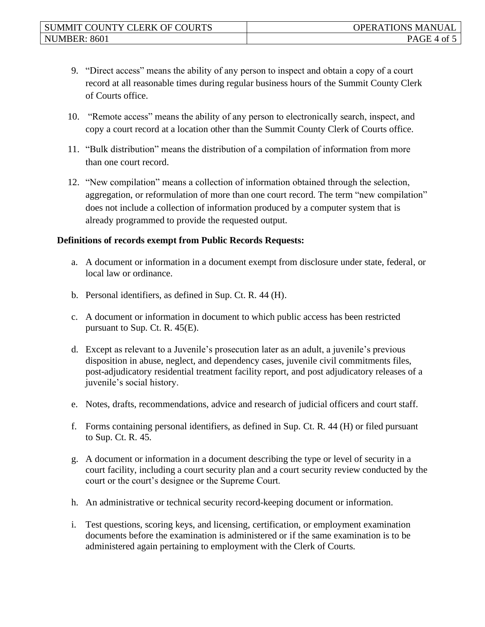- 9. "Direct access" means the ability of any person to inspect and obtain a copy of a court record at all reasonable times during regular business hours of the Summit County Clerk of Courts office.
- 10. "Remote access" means the ability of any person to electronically search, inspect, and copy a court record at a location other than the Summit County Clerk of Courts office.
- 11. "Bulk distribution" means the distribution of a compilation of information from more than one court record.
- 12. "New compilation" means a collection of information obtained through the selection, aggregation, or reformulation of more than one court record. The term "new compilation" does not include a collection of information produced by a computer system that is already programmed to provide the requested output.

#### **Definitions of records exempt from Public Records Requests:**

- a. A document or information in a document exempt from disclosure under state, federal, or local law or ordinance.
- b. Personal identifiers, as defined in Sup. Ct. R. 44 (H).
- c. A document or information in document to which public access has been restricted pursuant to Sup. Ct. R. 45(E).
- d. Except as relevant to a Juvenile's prosecution later as an adult, a juvenile's previous disposition in abuse, neglect, and dependency cases, juvenile civil commitments files, post-adjudicatory residential treatment facility report, and post adjudicatory releases of a juvenile's social history.
- e. Notes, drafts, recommendations, advice and research of judicial officers and court staff.
- f. Forms containing personal identifiers, as defined in Sup. Ct. R. 44 (H) or filed pursuant to Sup. Ct. R. 45.
- g. A document or information in a document describing the type or level of security in a court facility, including a court security plan and a court security review conducted by the court or the court's designee or the Supreme Court.
- h. An administrative or technical security record-keeping document or information.
- i. Test questions, scoring keys, and licensing, certification, or employment examination documents before the examination is administered or if the same examination is to be administered again pertaining to employment with the Clerk of Courts.